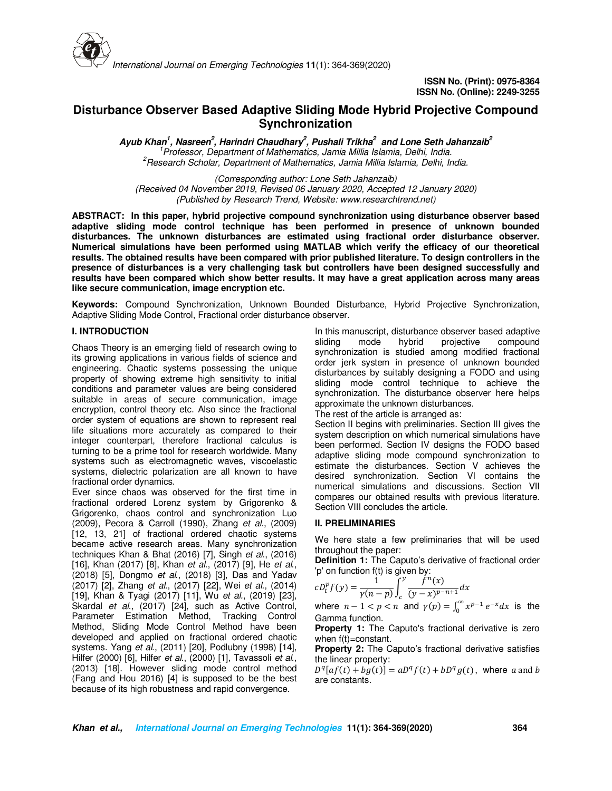

# **Disturbance Observer Based Adaptive Sliding Mode Hybrid Projective Compound Synchronization**

**Ayub Khan<sup>1</sup> , Nasreen<sup>2</sup> , Harindri Chaudhary<sup>2</sup> , Pushali Trikha<sup>2</sup> and Lone Seth Jahanzaib<sup>2</sup>** *<sup>1</sup>Professor, Department of Mathematics, Jamia Millia Islamia, Delhi, India. <sup>2</sup>Research Scholar, Department of Mathematics, Jamia Millia Islamia, Delhi, India.* 

*(Corresponding author: Lone Seth Jahanzaib) (Received 04 November 2019, Revised 06 January 2020, Accepted 12 January 2020) (Published by Research Trend, Website: www.researchtrend.net)* 

**ABSTRACT: In this paper, hybrid projective compound synchronization using disturbance observer based adaptive sliding mode control technique has been performed in presence of unknown bounded disturbances. The unknown disturbances are estimated using fractional order disturbance observer. Numerical simulations have been performed using MATLAB which verify the efficacy of our theoretical results. The obtained results have been compared with prior published literature. To design controllers in the presence of disturbances is a very challenging task but controllers have been designed successfully and results have been compared which show better results. It may have a great application across many areas like secure communication, image encryption etc.** 

**Keywords:** Compound Synchronization, Unknown Bounded Disturbance, Hybrid Projective Synchronization, Adaptive Sliding Mode Control, Fractional order disturbance observer.

## **I. INTRODUCTION**

Chaos Theory is an emerging field of research owing to its growing applications in various fields of science and engineering. Chaotic systems possessing the unique property of showing extreme high sensitivity to initial conditions and parameter values are being considered suitable in areas of secure communication, image encryption, control theory etc. Also since the fractional order system of equations are shown to represent real life situations more accurately as compared to their integer counterpart, therefore fractional calculus is turning to be a prime tool for research worldwide. Many systems such as electromagnetic waves, viscoelastic systems, dielectric polarization are all known to have fractional order dynamics.

Ever since chaos was observed for the first time in fractional ordered Lorenz system by Grigorenko & Grigorenko, chaos control and synchronization Luo (2009), Pecora & Carroll (1990), Zhang *et al.*, (2009) [12, 13, 21] of fractional ordered chaotic systems became active research areas. Many synchronization techniques Khan & Bhat (2016) [7], Singh *et al*., (2016) [16], Khan (2017) [8], Khan *et al.*, (2017) [9], He *et al*., (2018) [5], Dongmo *et al*., (2018) [3], Das and Yadav (2017) [2], Zhang *et al.*, (2017) [22], Wei *et al.*, (2014) [19], Khan & Tyagi (2017) [11], Wu *et al.*, (2019) [23], Skardal *et al.*, (2017) [24], such as Active Control, Parameter Estimation Method, Tracking Control Method, Sliding Mode Control Method have been developed and applied on fractional ordered chaotic systems. Yang *et al*., (2011) [20], Podlubny (1998) [14], Hilfer (2000) [6], Hilfer *et al*., (2000) [1], Tavassoli *et al.*, (2013) [18]. However sliding mode control method (Fang and Hou 2016) [4] is supposed to be the best because of its high robustness and rapid convergence.

In this manuscript, disturbance observer based adaptive mode hybrid projective compound synchronization is studied among modified fractional order jerk system in presence of unknown bounded disturbances by suitably designing a FODO and using sliding mode control technique to achieve the synchronization. The disturbance observer here helps approximate the unknown disturbances.

The rest of the article is arranged as:

Section II begins with preliminaries. Section III gives the system description on which numerical simulations have been performed. Section IV designs the FODO based adaptive sliding mode compound synchronization to estimate the disturbances. Section V achieves the desired synchronization. Section VI contains the numerical simulations and discussions. Section VII compares our obtained results with previous literature. Section VIII concludes the article.

# **II. PRELIMINARIES**

We here state a few preliminaries that will be used throughout the paper:

**Definition 1:** The Caputo's derivative of fractional order 'p' on function f(t) is given by:

$$
cD_{t}^{p} f(y) = \frac{1}{\gamma(n-p)} \int_{c}^{y} \frac{f^{n}(x)}{(y-x)^{p-n+1}} dx
$$

where  $n-1 < p < n$  and  $\gamma(p) = \int_0^\infty x^{p-1} e^{-x} dx$  is the Gamma function.

**Property 1:** The Caputo's fractional derivative is zero when f(t)=constant.

**Property 2:** The Caputo's fractional derivative satisfies the linear property:

 $D^{q}[af(t) + bg(t)] = aD^{q}f(t) + bD^{q}g(t)$ , where a and b are constants.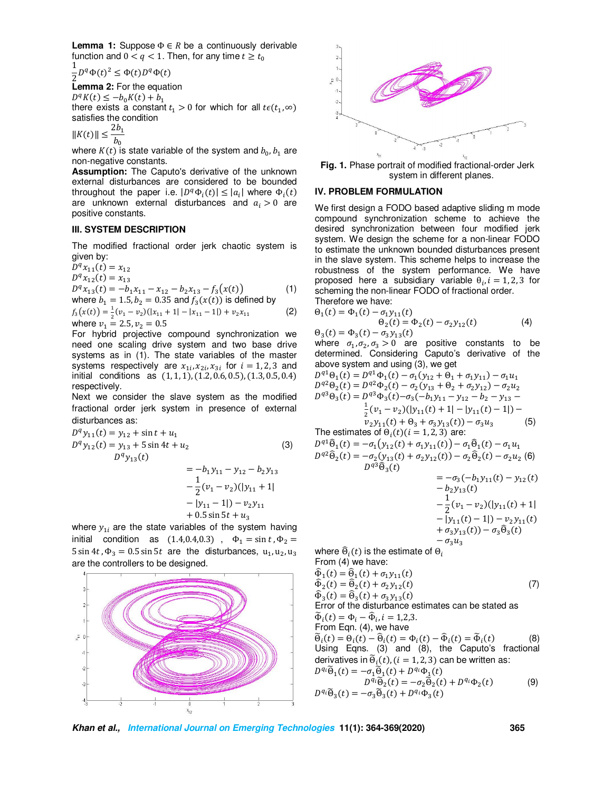**Lemma 1:** Suppose  $\Phi \in R$  be a continuously derivable function and  $0 < q < 1$ . Then, for any time  $t \ge t_0$ 

1  $\frac{1}{2}D^q\Phi(t)^2 \leq \Phi(t)D^q\Phi(t)$ 

**Lemma 2:** For the equation

 $D^q K(t) \leq -b_0 K(t) + b_1$ there exists a constant  $t_1 > 0$  for which for all  $t \epsilon(t_1, \infty)$ satisfies the condition

 $||K(t)|| \leq$  $2b_1$  $\overline{b_0}$ 

where  $K(t)$  is state variable of the system and  $b_0, b_1$  are non-negative constants.

**Assumption:** The Caputo's derivative of the unknown external disturbances are considered to be bounded throughout the paper i.e.  $|D^q \Phi_i(t)| \leq |a_i|$  where  $\Phi_i(t)$ are unknown external disturbances and  $a_i > 0$  are positive constants.

## **III. SYSTEM DESCRIPTION**

The modified fractional order jerk chaotic system is given by:

 $D^q x_{11}(t) = x_{12}$  $D^q x_{12}(t) = x_{13}$  $D^{q}x_{13}(t) = -b_{1}x_{11} - x_{12} - b_{2}x_{13} - f_{3}(x(t))$  (1)

where  $b_1 = 1.5, b_2 = 0.35$  and  $f_3(x(t))$  is defined by  $f_3(x(t)) = \frac{1}{2}(v_1 - v_2)(|x_{11} + 1| - |x_{11} - 1|) + v_2 x_{11}$  (2) where  $v_1 = 2.5, v_2 = 0.5$ 

For hybrid projective compound synchronization we need one scaling drive system and two base drive systems as in (1). The state variables of the master systems respectively are  $x_{1i}$ ,  $x_{2i}$ ,  $x_{3i}$  for  $i = 1, 2, 3$  and initial conditions as  $(1, 1, 1)$ ,  $(1.2, 0.6, 0.5)$ ,  $(1.3, 0.5, 0.4)$ respectively.

Next we consider the slave system as the modified fractional order jerk system in presence of external disturbances as:

$$
D^{q} y_{11}(t) = y_{12} + \sin t + u_{1}
$$
  
\n
$$
D^{q} y_{12}(t) = y_{13} + 5 \sin 4t + u_{2}
$$
  
\n
$$
D^{q} y_{13}(t) = -b_{1}y_{11} - y_{12} - b_{2}y_{13}
$$
  
\n
$$
- \frac{1}{2}(v_{1} - v_{2})(|y_{11} + 1| - |y_{11} - 1|) - v_{2}y_{11} + 0.5 \sin 5t + u_{3}
$$
  
\n(3)

where  $y_{1i}$  are the state variables of the system having initial condition as  $(1.4,0.4,0.3)$ ,  $\Phi_1 = \sin t$ ,  $\Phi_2 =$ 5 sin 4*t*,  $\Phi_3 = 0.5 \sin 5t$  are the disturbances,  $u_1, u_2, u_3$ are the controllers to be designed.





**Fig. 1.** Phase portrait of modified fractional-order Jerk system in different planes.

#### **IV. PROBLEM FORMULATION**

We first design a FODO based adaptive sliding m mode compound synchronization scheme to achieve the desired synchronization between four modified jerk system. We design the scheme for a non-linear FODO to estimate the unknown bounded disturbances present in the slave system. This scheme helps to increase the robustness of the system performance. We have proposed here a subsidiary variable  $\theta_i$ ,  $i = 1, 2, 3$  for scheming the non-linear FODO of fractional order. Therefore we have:

$$
\Theta_1(t) = \Phi_1(t) - \sigma_1 y_{11}(t) \n\Theta_2(t) = \Phi_2(t) - \sigma_2 y_{12}(t)
$$
\n(4)

 $\Theta_3(t) = \Phi_3(t) - \sigma_3 y_{13}(t)$ where  $\sigma_1, \sigma_2, \sigma_3 > 0$  are positive constants to be determined. Considering Caputo's derivative of the above system and using (3), we get

$$
D^{q1}\Theta_{1}(t) = D^{q1}\Phi_{1}(t) - \sigma_{1}(y_{12} + \Theta_{1} + \sigma_{1}y_{11}) - \sigma_{1}u_{1}
$$
  
\n
$$
D^{q2}\Theta_{2}(t) = D^{q2}\Phi_{2}(t) - \sigma_{2}(y_{13} + \Theta_{2} + \sigma_{2}y_{12}) - \sigma_{2}u_{2}
$$
  
\n
$$
D^{q3}\Theta_{3}(t) = D^{q3}\Phi_{3}(t) - \sigma_{3}(-b_{1}y_{11} - y_{12} - b_{2} - y_{13} - \frac{1}{2}(v_{1} - v_{2})(|y_{11}(t) + 1| - |y_{11}(t) - 1|) - \frac{v_{2}y_{11}(t) + \Theta_{3} + \sigma_{3}y_{13}(t)) - \sigma_{3}u_{3}}{(\Theta)}
$$

The estimates of  $\Theta_i(t)$   $(i = 1, 2, 3)$  are:

$$
D^{q1}\widehat{\Theta}_{1}(t) = -\sigma_{1}(y_{12}(t) + \sigma_{1}y_{11}(t)) - \sigma_{1}\widehat{\Theta}_{1}(t) - \sigma_{1}u_{1}
$$
  
\n
$$
D^{q2}\widehat{\Theta}_{2}(t) = -\sigma_{2}(y_{13}(t) + \sigma_{2}y_{12}(t)) - \sigma_{2}\widehat{\Theta}_{2}(t) - \sigma_{2}u_{2}
$$
 (6)  
\n
$$
D^{q3}\widehat{\Theta}_{3}(t)
$$

$$
= -\sigma_3(-b_1y_{11}(t) - y_{12}(t))
$$
  
\n
$$
- b_2y_{13}(t)
$$
  
\n
$$
- \frac{1}{2}(v_1 - v_2)(|y_{11}(t) + 1| - |y_{11}(t) - 1|) - v_2y_{11}(t)
$$
  
\n
$$
+ \sigma_3y_{13}(t)) - \sigma_3\widehat{\Theta}_3(t)
$$
  
\n
$$
- \sigma_2u_2
$$

where  $\widehat{\Theta}_i(t)$  is the estimate of  $\Theta_i$ From (4) we have:

$$
\begin{aligned}\n\widehat{\Phi}_1(t) &= \widehat{\Theta}_1(t) + \sigma_1 y_{11}(t) \\
\widehat{\Phi}_2(t) &= \widehat{\Theta}_2(t) + \sigma_2 y_{12}(t) \\
\widehat{\Phi}_3(t) &= \widehat{\Theta}_3(t) + \sigma_3 y_{13}(t)\n\end{aligned} \tag{7}
$$

 $\Phi_3(t) = \Theta_3(t) + \sigma_3 y_{13}(t)$ <br>Error of the disturbance estimates can be stated as  $\widetilde{\Phi}_i(t) = \Phi_i - \widehat{\Phi}_i, i = 1,2,3.$ 

From Eqn. (4), we have

 $\widetilde{\Theta}_i(t) = \Theta_i(t) - \widehat{\Theta}_i(t) = \Phi_i(t) - \widehat{\Phi}_i(t) = \widetilde{\Phi}_i(t)$  (8) Using Eqns. (3) and (8), the Caputo's fractional derivatives in  $\widetilde{\Theta}_{i}(t)$ , ( $i = 1, 2, 3$ ) can be written as:  $D^{q_i}\tilde{\Theta}_1(t) = -\sigma_1 \tilde{\Theta}_1(t) + D^{q_i}\Phi_1(t)$ 

$$
D^{q_i}\tilde{\Theta}_2(t) = -\sigma_2 \tilde{\Theta}_2(t) + D^{q_i}\Phi_2(t)
$$
(9)  

$$
D^{q_i}\tilde{\Theta}_3(t) = -\sigma_3 \tilde{\Theta}_3(t) + D^{q_i}\Phi_3(t)
$$

**Khan et al., International Journal on Emerging Technologies 11(1): 364-369(2020) 365**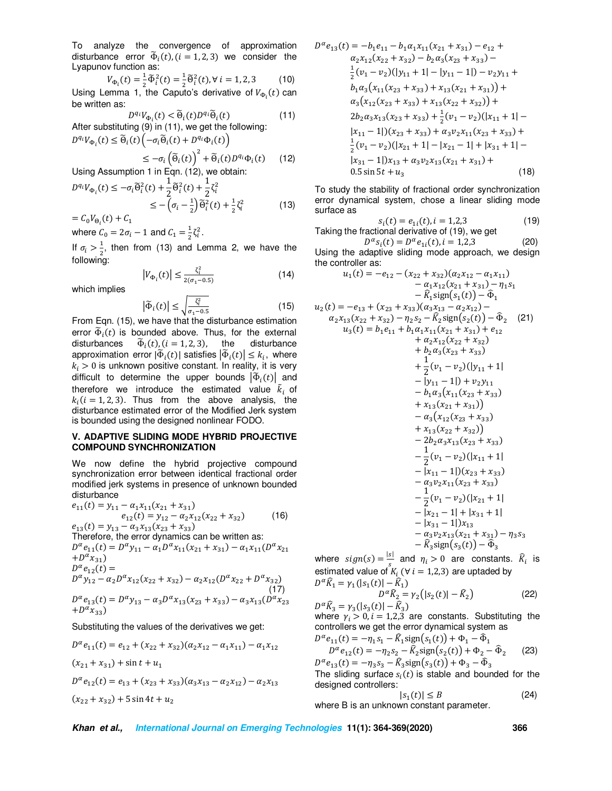To analyze the convergence of approximation disturbance error  $\tilde{\Phi}_i(t)$ ,  $(i = 1, 2, 3)$  we consider the Lyapunov function as:

$$
V_{\Phi_i}(t) = \frac{1}{2}\tilde{\Phi}_i^2(t) = \frac{1}{2}\tilde{\Theta}_i^2(t), \forall i = 1, 2, 3
$$
 (10)  
Using Lemma 1, the Caputo's derivative of  $V_{\Phi_i}(t)$  can  
be written as:

$$
D^{q_i}V_{\Phi_i}(t) < \widetilde{\Theta}_i(t)D^{q_i}\widetilde{\Theta}_i(t) \tag{11}
$$
\nAfter substituting (9) in (11), we get the following:

\n
$$
D^{q_i}V_{\Phi_i}(t) \leq \widetilde{\Theta}_i(t) \left( -\sigma_i \widetilde{\Theta}_i(t) + D^{q_i} \Phi_i(t) \right)
$$

$$
-\sigma_i \left(\widetilde{\Theta}_i(t)\right)^2 + \widetilde{\Theta}_i(t) D^{q_i} \Phi_i(t) \qquad (12)
$$

Using Assumption 1 in Eqn. (12), we obtain:  
\n
$$
D^{q_i}V_{\Phi_i}(t) \leq -\sigma_i \tilde{\Theta}_i^2(t) + \frac{1}{2} \tilde{\Theta}_i^2(t) + \frac{1}{2} \zeta_i^2
$$
\n
$$
\leq -\left(\sigma_i - \frac{1}{2}\right) \tilde{\Theta}_i^2(t) + \frac{1}{2} \zeta_i^2
$$
\n(13)

 $=C_0V_{\Theta_i}(t) + C_1$ where  ${\cal C}_0 = 2\sigma_{\widetilde l} - 1$  and  ${\cal C}_1 = \frac{1}{2}$ 

Using Assumption 1 in Eqn. (12), we obtain:

 $\leq$ 

 $\frac{1}{2}\zeta_i^2$ . If  $\sigma_i > \frac{1}{2}$  $\frac{1}{2}$ , then from (13) and Lemma 2, we have the following:

$$
|V_{\Phi_i}(t)| \le \frac{\zeta_i^2}{2(\sigma_1 - 0.5)}
$$
 (14)

which implies

$$
\left|\tilde{\Phi}_i(t)\right| \le \sqrt{\frac{\zeta_i^2}{\sigma_1 - 0.5}}\tag{15}
$$

From Eqn. (15), we have that the disturbance estimation error  $\tilde{\Phi}_i(t)$  is bounded above. Thus, for the external disturbances  $\tilde{\Phi}_i(t)$ ,  $(i = 1, 2, 3)$ , the disturbance approximation error  $|\tilde{\Phi}_i(t)|$  satisfies  $|\tilde{\Phi}_i(t)| \leq k_i$ , where  $k_i > 0$  is unknown positive constant. In reality, it is very difficult to determine the upper bounds  $\left|\Phi_i(t)\right|$  and therefore we introduce the estimated value  $\tilde{k}_i$  of  $k_i$  ( $i = 1, 2, 3$ ). Thus from the above analysis, the disturbance estimated error of the Modified Jerk system is bounded using the designed nonlinear FODO.

# **V. ADAPTIVE SLIDING MODE HYBRID PROJECTIVE COMPOUND SYNCHRONIZATION**

We now define the hybrid projective compound synchronization error between identical fractional order modified jerk systems in presence of unknown bounded disturbance

$$
e_{11}(t) = y_{11} - \alpha_1 x_{11}(x_{21} + x_{31})
$$
  
\n
$$
e_{12}(t) = y_{12} - \alpha_2 x_{12}(x_{22} + x_{32})
$$
 (16)

 $e_{13}(t) = y_{13} - \alpha_3 x_{13}(x_{23} + x_{33})$ Therefore, the error dynamics can be written as:  $D^{\alpha} e_{11}(t) = D^{\alpha} y_{11} - \alpha_1 D^{\alpha} x_{11}(x_{21} + x_{31}) - \alpha_1 x_{11}(D^{\alpha} x_{21})$  $+D^{\alpha}x_{31})$  $D^{\alpha}e_{12}(t) =$  $D^{\alpha} y_{12} - \alpha_2 D^{\alpha} x_{12} (x_{22} + x_{32}) - \alpha_2 x_{12} (D^{\alpha} x_{22} + D^{\alpha} x_{32})$  $(17)$  $D^{\alpha} e_{13}(t) = D^{\alpha} y_{13} - \alpha_3 D^{\alpha} x_{13}(x_{23} + x_{33}) - \alpha_3 x_{13}(D^{\alpha} x_{23})$  $+D^{\alpha}x_{33})$ 

Substituting the values of the derivatives we get:

$$
D^{\alpha}e_{11}(t) = e_{12} + (x_{22} + x_{32})(\alpha_2 x_{12} - \alpha_1 x_{11}) - \alpha_1 x_{12}
$$
  
(x<sub>21</sub> + x<sub>31</sub>) + sin t + u<sub>1</sub>  

$$
D^{\alpha}e_{12}(t) = e_{13} + (x_{23} + x_{33})(\alpha_3 x_{13} - \alpha_2 x_{12}) - \alpha_2 x_{13}
$$
  
(x<sub>22</sub> + x<sub>32</sub>) + 5 sin 4t + u<sub>2</sub>

$$
D^{\alpha}e_{13}(t) = -b_1e_{11} - b_1\alpha_1x_{11}(x_{21} + x_{31}) - e_{12} +
$$
  
\n
$$
\alpha_2x_{12}(x_{22} + x_{32}) - b_2\alpha_3(x_{23} + x_{33}) -
$$
  
\n
$$
\frac{1}{2}(v_1 - v_2)(|y_{11} + 1| - |y_{11} - 1|) - v_2y_{11} +
$$
  
\n
$$
b_1\alpha_3(x_{11}(x_{23} + x_{33}) + x_{13}(x_{21} + x_{31})) +
$$
  
\n
$$
\alpha_3(x_{12}(x_{23} + x_{33}) + x_{13}(x_{22} + x_{32})) +
$$
  
\n
$$
2b_2\alpha_3x_{13}(x_{23} + x_{33}) + \frac{1}{2}(v_1 - v_2)(|x_{11} + 1| -
$$
  
\n
$$
|x_{11} - 1|)(x_{23} + x_{33}) + \alpha_3v_2x_{11}(x_{23} + x_{33}) +
$$
  
\n
$$
\frac{1}{2}(v_1 - v_2)(|x_{21} + 1| - |x_{21} - 1| + |x_{31} + 1| -
$$
  
\n
$$
|x_{31} - 1|)x_{13} + \alpha_3v_2x_{13}(x_{21} + x_{31}) +
$$
  
\n0.5 sin 5t + u<sub>3</sub> (18)

To study the stability of fractional order synchronization error dynamical system, chose a linear sliding mode surface as

$$
s_i(t) = e_{1i}(t), i = 1,2,3
$$
 (19)

Taking the fractional derivative of (19), we get  $D^{\alpha} s_i(t) = D^{\alpha} e_{1i}(t), i = 1,2,3$  (20)

Using the adaptive sliding mode approach, we design the controller as:  $\mu(f) = -e$  $\left( \begin{array}{cc} (x + x) (\alpha x) \end{array} \right)$ 

$$
u_1(t) = -e_{12} - (x_{22} + x_{32})(a_2x_{12} - a_1x_{11})
$$
  
\t\t\t\t
$$
- a_1x_{12}(x_{21} + x_{31}) - \eta_1s_1
$$
  
\t\t\t\t
$$
- \hat{R}_1 \text{sign}(s_1(t)) - \hat{\Phi}_1
$$
  
\t\t\t\t
$$
a_2x_{13}(x_{22} + x_{32}) - \eta_2s_2 - \hat{R}_2 \text{sign}(s_2(t)) - \hat{\Phi}_2
$$
  
\t\t\t\t
$$
a_3(t) = b_1e_{11} + b_1a_1x_{11}(x_{21} + x_{31}) + e_{12}
$$
  
\t\t\t\t
$$
+ a_2x_{12}(x_{22} + x_{32})
$$
  
\t\t\t\t
$$
+ b_2a_3(x_{23} + x_{33})
$$
  
\t\t\t\t
$$
+ \frac{1}{2}(v_1 - v_2)(|y_{11} + 1| - |y_{11} - 1|) + v_2y_{11}
$$
  
\t\t\t\t
$$
- b_1a_3(x_{11}(x_{23} + x_{33})
$$
  
\t\t\t\t
$$
+ x_{13}(x_{21} + x_{31}))
$$
  
\t\t\t\t
$$
- a_3(x_{12}(x_{23} + x_{33}))
$$
  
\t\t\t\t
$$
+ x_{13}(x_{22} + x_{32})
$$
  
\t\t\t\t
$$
- 2b_2a_3x_{13}(x_{23} + x_{33})
$$
  
\t\t\t\t
$$
+ x_{13}(x_{22} + x_{32})
$$
  
\t\t\t\t
$$
- \frac{1}{2}(v_1 - v_2)(|x_{11} + 1| - |x_{11} - 1|)(x_{23} + x_{33})
$$
  
\t\t\t\t
$$
- \frac{1}{2}(v_1 - v_2)(|x_{11} + 1| - |x_{11} - 1|)(x_{23} + x_{33})
$$
  
\t\t\t\t
$$
- \frac{1}{2}(v_1 - v_2)(|x_{21} + 1| - |x_{3
$$

where  $sign(s) = \frac{|s|}{s}$  and  $\eta_i > 0$  are constants.  $\widehat{R}_i$  is estimated value of  $K_i$  ( $\forall i = 1,2,3$ ) are uptaded by  $D^{\alpha} \hat{K}_1 = \gamma_1 (|s_1(t)| - \hat{K}_1)$ 

$$
D^{\alpha}\widehat{K}_2 = \gamma_2(|s_2(t)| - \widehat{K}_2)
$$
 (22)  

$$
D^{\alpha}\widehat{K}_3 = \gamma_3(|s_3(t)| - \widehat{K}_3)
$$

where  $\gamma_i > 0$ ,  $i = 1,2,3$  are constants. Substituting the controllers we get the error dynamical system as

$$
D^{\alpha} e_{11}(t) = -\eta_1 s_1 - \hat{K}_1 \text{sign}(s_1(t)) + \Phi_1 - \hat{\Phi}_1
$$
  
\n
$$
D^{\alpha} e_{12}(t) = -\eta_2 s_2 - \hat{K}_2 \text{sign}(s_2(t)) + \Phi_2 - \hat{\Phi}_2
$$
 (23)

 $D^{\alpha}e_{13}(t) = -\eta_3 s_3 - \hat{K}_3 \text{sign}(s_3(t)) + \Phi_3 - \hat{\Phi}_3$ The sliding surface  $s_i(t)$  is stable and bounded for the designed controllers:

|b !| ≤ f (24) where B is an unknown constant parameter.

**Khan et al., International Journal on Emerging Technologies 11(1): 364-369(2020) 366**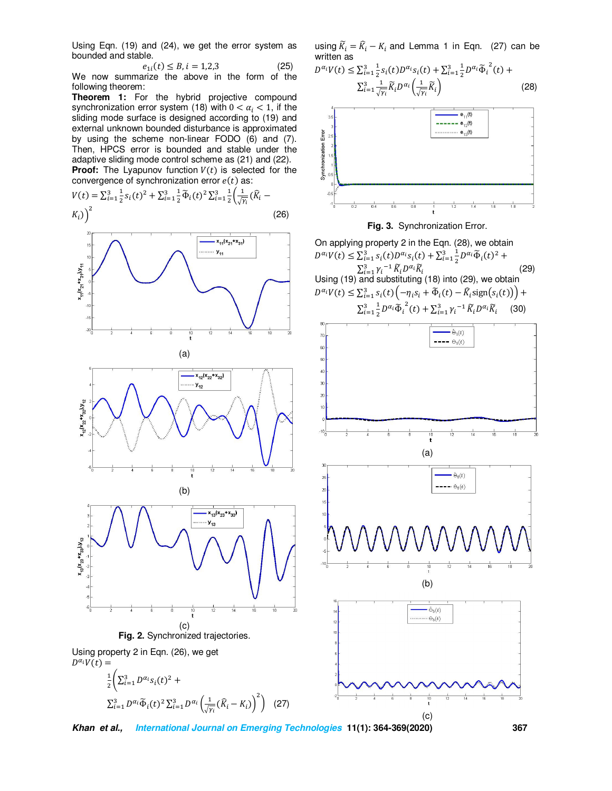Using Eqn. (19) and (24), we get the error system as bounded and stable.

$$
e_{1i}(t) \le B, i = 1, 2, 3 \tag{25}
$$

We now summarize the above in the form of the following theorem:

**Theorem 1:** For the hybrid projective compound synchronization error system (18) with  $0 < \alpha_i < 1$ , if the sliding mode surface is designed according to (19) and external unknown bounded disturbance is approximated by using the scheme non-linear FODO (6) and (7). Then, HPCS error is bounded and stable under the adaptive sliding mode control scheme as (21) and (22). **Proof:** The Lyapunov function  $V(t)$  is selected for the convergence of synchronization error  $e(t)$  as:

$$
V(t) = \sum_{i=1}^{3} \frac{1}{2} s_i(t)^2 + \sum_{i=1}^{3} \frac{1}{2} \tilde{\Phi}_i(t)^2 \sum_{i=1}^{3} \frac{1}{2} \left( \frac{1}{\sqrt{\gamma_i}} (\hat{K}_i - K_i) \right)^2
$$
(26)



$$
\frac{1}{2} \left( \sum_{i=1}^{3} D^{\alpha_i} s_i(t)^2 + \sum_{i=1}^{3} D^{\alpha_i} \widetilde{\Phi}_i(t)^2 \sum_{i=1}^{3} D^{\alpha_i} \left( \frac{1}{\sqrt{n}} (\widehat{R}_i - K_i) \right)^2 \right) (27)
$$

**Khan et al., International Journal on Emerging Technologies 11(1): 364-369(2020) 367**

using  $\widetilde{K}_i = \widehat{K}_i - K_i$  and Lemma 1 in Eqn. (27) can be written as  $\overline{1}$ 

$$
D^{\alpha_i}V(t) \le \sum_{i=1}^3 \frac{1}{2} s_i(t) D^{\alpha_i} s_i(t) + \sum_{i=1}^3 \frac{1}{2} D^{\alpha_i} \widetilde{\Phi}_i^2(t) +
$$
  

$$
\sum_{i=1}^3 \frac{1}{\sqrt{\gamma_i}} \widetilde{K}_i D^{\alpha_i} \left( \frac{1}{\sqrt{\gamma_i}} \widetilde{K}_i \right)
$$
(28)





On applying property 2 in the Eqn. (28), we obtain  $D^{\alpha_i}V(t) \leq \sum_{i=1}^3 s_i(t)D^{\alpha_i}s_i(t) + \sum_{i=1}^3 \frac{1}{2}D^{\alpha_i}\tilde{\Phi}_i(t)^2 +$  $\sum_{i=1}^{n} \gamma_i^{-1} \widetilde{K}_i D^{\alpha_i} \widetilde{K}_i$  (29) Using (19) and substituting (18) into (29), we obtain  $D^{\alpha_i}V(t) \leq \sum_{i=1}^3 s_i(t) \left(-\eta_i s_i + \tilde{\Phi}_i(t) - \tilde{K}_i \text{sign}(s_i(t))\right) +$  $\sum_{i=1}^{3} \frac{1}{2}$  $\frac{3}{i=1} \frac{1}{2} D^{\alpha_i} \widetilde{\Phi}_i^2(t) + \sum_{i=1}^3 \gamma_i^{-1} \widetilde{K}_i D^{\alpha_i} \widetilde{K}_i$  (30)

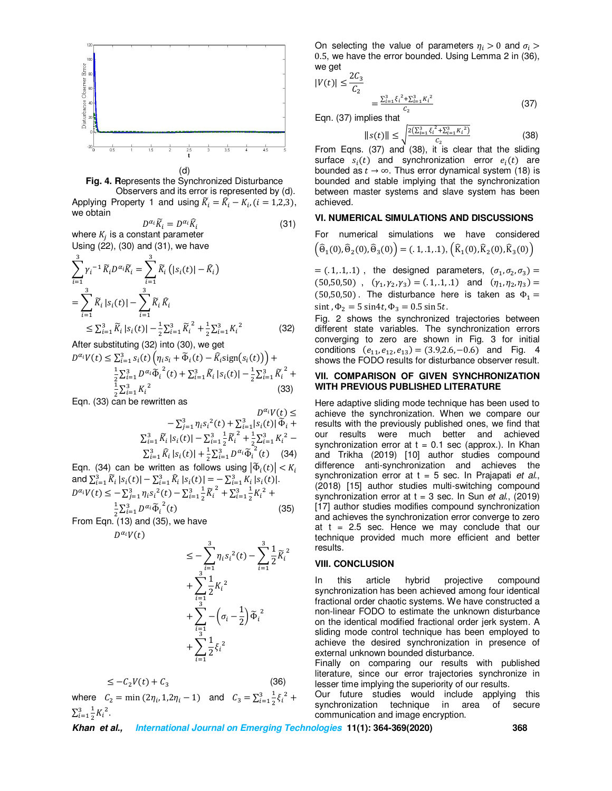



Applying Property 1 and using  $\widetilde{K}_i = \widehat{K}_i - K_i$ ,  $(i = 1, 2, 3)$ , we obtain

$$
D^{\alpha_i} \widetilde{K}_i = D^{\alpha_i} \widehat{K}_i \tag{31}
$$

 $D^{\alpha_i}\bar{K}_i = D^{\alpha_i}\bar{K}_i$ where  $K_j$  is a constant parameter Using (22), (30) and (31), we have

$$
\sum_{i=1}^{3} \gamma_i^{-1} \widetilde{K}_i D^{\alpha_i} \widetilde{K}_i = \sum_{i=1}^{3} \widetilde{K}_i (|s_i(t)| - \widehat{K}_i)
$$
\n
$$
= \sum_{i=1}^{3} \widetilde{K}_i |s_i(t)| - \sum_{i=1}^{3} \widetilde{K}_i \widehat{K}_i
$$
\n
$$
\leq \sum_{i=1}^{3} \widetilde{K}_i |s_i(t)| - \frac{1}{2} \sum_{i=1}^{3} \widetilde{K}_i^2 + \frac{1}{2} \sum_{i=1}^{3} K_i^2 \tag{32}
$$

After substituting (32) into (30), we get

 $D^{\alpha_i}V(t) \leq \sum_{i=1}^3 s_i(t) \left( \eta_i s_i + \tilde{\Phi}_i(t) - \hat{K}_i \text{sign}(s_i(t)) \right) +$ 

$$
\frac{1}{2} \sum_{i=1}^{3} D^{\alpha_i} \widetilde{\Phi}_i^2(t) + \sum_{i=1}^{3} \widetilde{K}_i |s_i(t)| - \frac{1}{2} \sum_{i=1}^{3} \widetilde{K}_i^2 + \frac{1}{2} \sum_{i=1}^{3} K_i^2
$$
\n(33)

Eqn. (33) can be rewritten as

$$
D^{\alpha_i}V(t) \leq
$$
  
-  $\sum_{j=1}^3 \eta_i s_i^2(t) + \sum_{i=1}^3 |s_i(t)| \widetilde{\Phi}_i +$   
 $\sum_{i=1}^3 \widetilde{K}_i |s_i(t)| - \sum_{i=1}^3 \frac{1}{2} \widetilde{K}_i^2 + \frac{1}{2} \sum_{i=1}^3 K_i^2 -$   
 $\sum_{i=1}^3 \widehat{K}_i |s_i(t)| + \frac{1}{2} \sum_{i=1}^3 D^{\alpha_i} \widetilde{\Phi}_i^2(t)$  (34)

Eqn. (34) can be written as follows using  $|\tilde{\Phi}_i(t)| < K_i$ and  $\sum_{i=1}^{3} \tilde{K}_i |s_i(t)| - \sum_{i=1}^{3} \tilde{K}_i |s_i(t)| = -\sum_{i=1}^{3} K_i |s_i(t)|$ .  $D^{\alpha_i}V(t) \leq -\sum_{j=1}^3 \eta_i s_i^2(t) - \sum_{i=1}^3 \frac{1}{2}$  $\frac{3}{i-1} \frac{1}{2} \widetilde{K}_i^2 + \sum_{i=1}^3 \frac{1}{2}$ 2  $\frac{3}{i-1}$  $\frac{1}{2}$  $K_i$ <sup>2</sup> +  $\frac{1}{2}\sum_{i=1}^{3}D^{\alpha_{i}}\tilde{\Phi}_{i}^{2}(t)$  (35)

From Eqn.  $(13)$  and (35), we have

 $D^{\alpha_i}V(t)$ 

$$
\leq -\sum_{i=1}^{3} \eta_i s_i^2(t) - \sum_{i=1}^{3} \frac{1}{2} \widetilde{K}_i^2 + \sum_{i=1}^{3} \frac{1}{2} K_i^2 + \sum_{i=1}^{3} -(\sigma_i - \frac{1}{2}) \widetilde{\Phi}_i^2 + \sum_{i=1}^{3} \frac{1}{2} \xi_i^2
$$

$$
\leq -C_2 V(t) + C_3 \tag{36}
$$

where  $C_2 = \min(2\eta_i, 1, 2\eta_i - 1)$  and  $C_3 = \sum_{i=1}^3 \frac{1}{2}$ 2  $\frac{3}{i=1} \frac{1}{2} \xi_i^2$  +  $\Sigma_{i=1}^3\frac{1}{2}$  $\overline{\mathbf{c}}$  $\frac{3}{i=1} \frac{1}{2} K_i^2$ .

On selecting the value of parameters  $\eta_i > 0$  and  $\sigma_i > 0$ 0.5, we have the error bounded. Using Lemma 2 in (36), we get

$$
|V(t)| \le \frac{2C_3}{C_2}
$$

$$
=\frac{\sum_{i=1}^{3}\xi_{i}^{2}+\sum_{i=1}^{3}K_{i}^{2}}{c_{2}}
$$
(37)

Eqn. (37) implies that

$$
||s(t)|| \le \sqrt{\frac{2(\sum_{i=1}^{3} \xi_i^2 + \sum_{i=1}^{3} K_i^2)}{c_2}}
$$
(38)

From Eqns. (37) and (38), it is clear that the sliding surface  $s_i(t)$  and synchronization error  $e_i(t)$  are bounded as  $t \to \infty$ . Thus error dynamical system (18) is bounded and stable implying that the synchronization between master systems and slave system has been achieved.

# **VI. NUMERICAL SIMULATIONS AND DISCUSSIONS**

For numerical simulations we have considered  $\left(\widehat{\Theta}_{1}(0), \widehat{\Theta}_{2}(0), \widehat{\Theta}_{3}(0)\right) = (.1, .1, .1), \left(\widehat{K}_{1}(0), \widehat{K}_{2}(0), \widehat{K}_{3}(0)\right)$ 

 $= (.1, .1, .1)$ , the designed parameters,  $(\sigma_1, \sigma_2, \sigma_3) =$  $(50,50,50)$ ,  $(\gamma_1, \gamma_2, \gamma_3) = (.1, .1, .1)$  and  $(\eta_1, \eta_2, \eta_3) =$  $(50,50,50)$ . The disturbance here is taken as  $\Phi_1 =$ sint ,  $\Phi_2 = 5 \sin 4t$ ,  $\Phi_3 = 0.5 \sin 5t$ .

Fig. 2 shows the synchronized trajectories between different state variables. The synchronization errors converging to zero are shown in Fig. 3 for initial conditions  $(e_{11}, e_{12}, e_{13}) = (3.9, 2.6, -0.6)$  and Fig. 4 shows the FODO results for disturbance observer result.

#### **VII. COMPARISON OF GIVEN SYNCHRONIZATION WITH PREVIOUS PUBLISHED LITERATURE**

Here adaptive sliding mode technique has been used to achieve the synchronization. When we compare our results with the previously published ones, we find that our results were much better and achieved synchronization error at  $t = 0.1$  sec (approx.). In Khan and Trikha (2019) [10] author studies compound difference anti-synchronization and achieves the synchronization error at t = 5 sec. In Prajapati *et al.*, (2018) [15] author studies multi-switching compound synchronization error at t = 3 sec. In Sun *et al*., (2019) [17] author studies modifies compound synchronization and achieves the synchronization error converge to zero at  $t = 2.5$  sec. Hence we may conclude that our technique provided much more efficient and better results.

#### **VIII. CONCLUSION**

In this article hybrid projective compound synchronization has been achieved among four identical fractional order chaotic systems. We have constructed a non-linear FODO to estimate the unknown disturbance on the identical modified fractional order jerk system. A sliding mode control technique has been employed to achieve the desired synchronization in presence of external unknown bounded disturbance.

Finally on comparing our results with published literature, since our error trajectories synchronize in lesser time implying the superiority of our results.

Our future studies would include applying this synchronization technique in area of secure communication and image encryption.

**Khan et al., International Journal on Emerging Technologies 11(1): 364-369(2020) 368**